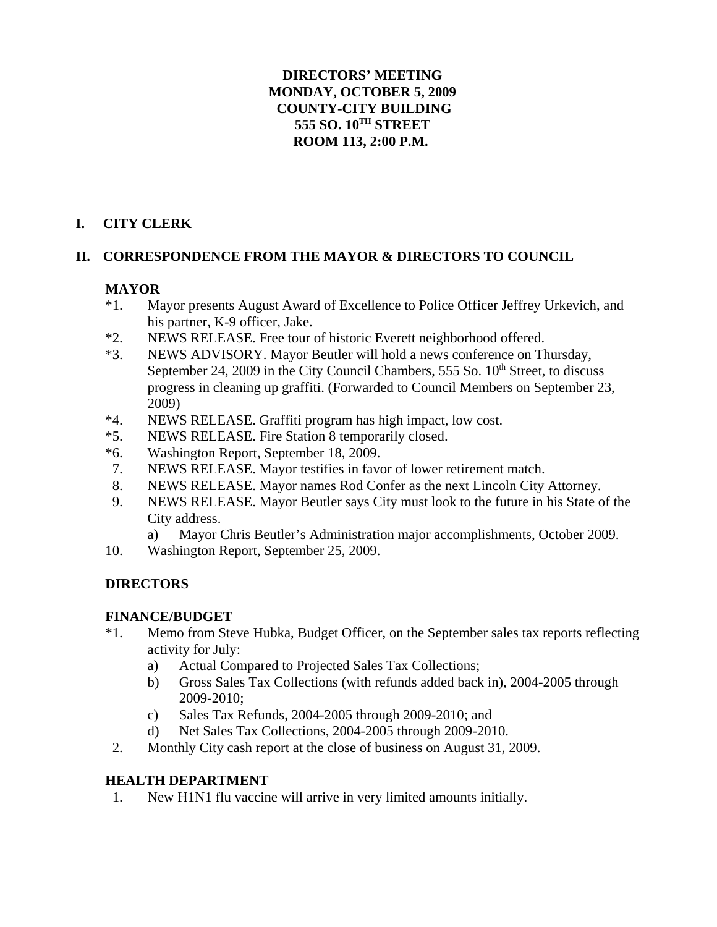### **DIRECTORS' MEETING MONDAY, OCTOBER 5, 2009 COUNTY-CITY BUILDING 555 SO. 10TH STREET ROOM 113, 2:00 P.M.**

## **I. CITY CLERK**

## **II. CORRESPONDENCE FROM THE MAYOR & DIRECTORS TO COUNCIL**

## **MAYOR**

- \*1. Mayor presents August Award of Excellence to Police Officer Jeffrey Urkevich, and his partner, K-9 officer, Jake.
- \*2. NEWS RELEASE. Free tour of historic Everett neighborhood offered.
- \*3. NEWS ADVISORY. Mayor Beutler will hold a news conference on Thursday, September 24, 2009 in the City Council Chambers, 555 So.  $10<sup>th</sup>$  Street, to discuss progress in cleaning up graffiti. (Forwarded to Council Members on September 23, 2009)
- \*4. NEWS RELEASE. Graffiti program has high impact, low cost.
- \*5. NEWS RELEASE. Fire Station 8 temporarily closed.
- \*6. Washington Report, September 18, 2009.
- 7. NEWS RELEASE. Mayor testifies in favor of lower retirement match.
- 8. NEWS RELEASE. Mayor names Rod Confer as the next Lincoln City Attorney.
- 9. NEWS RELEASE. Mayor Beutler says City must look to the future in his State of the City address.
	- a) Mayor Chris Beutler's Administration major accomplishments, October 2009.
- 10. Washington Report, September 25, 2009.

### **DIRECTORS**

#### **FINANCE/BUDGET**

- \*1. Memo from Steve Hubka, Budget Officer, on the September sales tax reports reflecting activity for July:
	- a) Actual Compared to Projected Sales Tax Collections;
	- b) Gross Sales Tax Collections (with refunds added back in), 2004-2005 through 2009-2010;
	- c) Sales Tax Refunds, 2004-2005 through 2009-2010; and
	- d) Net Sales Tax Collections, 2004-2005 through 2009-2010.
- 2. Monthly City cash report at the close of business on August 31, 2009.

### **HEALTH DEPARTMENT**

1. New H1N1 flu vaccine will arrive in very limited amounts initially.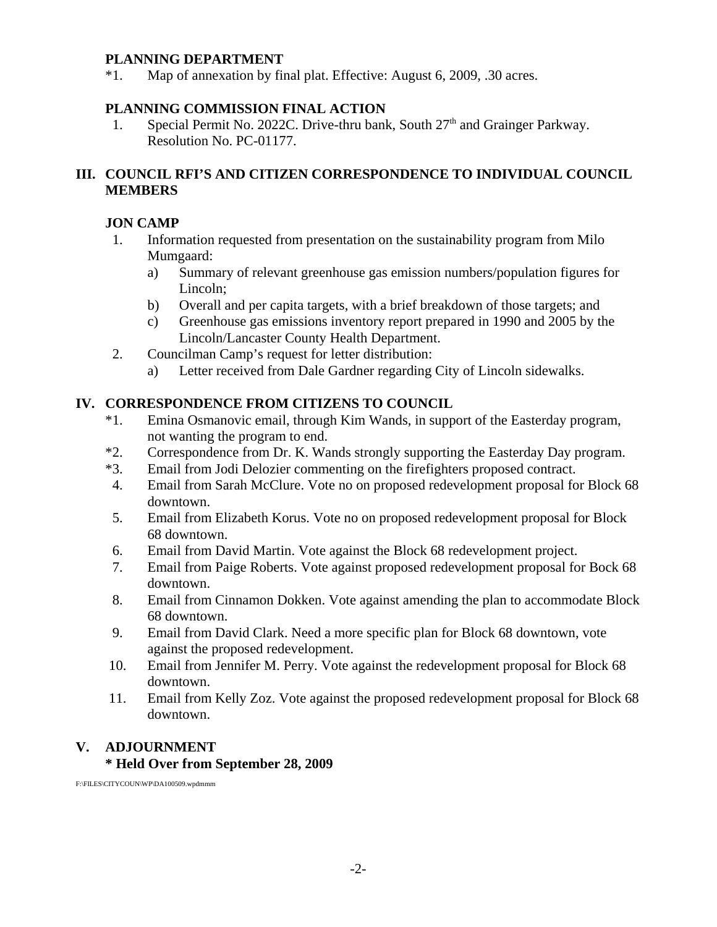#### **PLANNING DEPARTMENT**

\*1. Map of annexation by final plat. Effective: August 6, 2009, .30 acres.

### **PLANNING COMMISSION FINAL ACTION**

1. Special Permit No. 2022C. Drive-thru bank, South  $27<sup>th</sup>$  and Grainger Parkway. Resolution No. PC-01177.

### **III. COUNCIL RFI'S AND CITIZEN CORRESPONDENCE TO INDIVIDUAL COUNCIL MEMBERS**

#### **JON CAMP**

- 1. Information requested from presentation on the sustainability program from Milo Mumgaard:
	- a) Summary of relevant greenhouse gas emission numbers/population figures for Lincoln;
	- b) Overall and per capita targets, with a brief breakdown of those targets; and
	- c) Greenhouse gas emissions inventory report prepared in 1990 and 2005 by the Lincoln/Lancaster County Health Department.
- 2. Councilman Camp's request for letter distribution:
	- a) Letter received from Dale Gardner regarding City of Lincoln sidewalks.

### **IV. CORRESPONDENCE FROM CITIZENS TO COUNCIL**

- \*1. Emina Osmanovic email, through Kim Wands, in support of the Easterday program, not wanting the program to end.
- \*2. Correspondence from Dr. K. Wands strongly supporting the Easterday Day program.
- \*3. Email from Jodi Delozier commenting on the firefighters proposed contract.
- 4. Email from Sarah McClure. Vote no on proposed redevelopment proposal for Block 68 downtown.
- 5. Email from Elizabeth Korus. Vote no on proposed redevelopment proposal for Block 68 downtown.
- 6. Email from David Martin. Vote against the Block 68 redevelopment project.
- 7. Email from Paige Roberts. Vote against proposed redevelopment proposal for Bock 68 downtown.
- 8. Email from Cinnamon Dokken. Vote against amending the plan to accommodate Block 68 downtown.
- 9. Email from David Clark. Need a more specific plan for Block 68 downtown, vote against the proposed redevelopment.
- 10. Email from Jennifer M. Perry. Vote against the redevelopment proposal for Block 68 downtown.
- 11. Email from Kelly Zoz. Vote against the proposed redevelopment proposal for Block 68 downtown.

## **V. ADJOURNMENT**

#### **\* Held Over from September 28, 2009**

F:\FILES\CITYCOUN\WP\DA100509.wpdmmm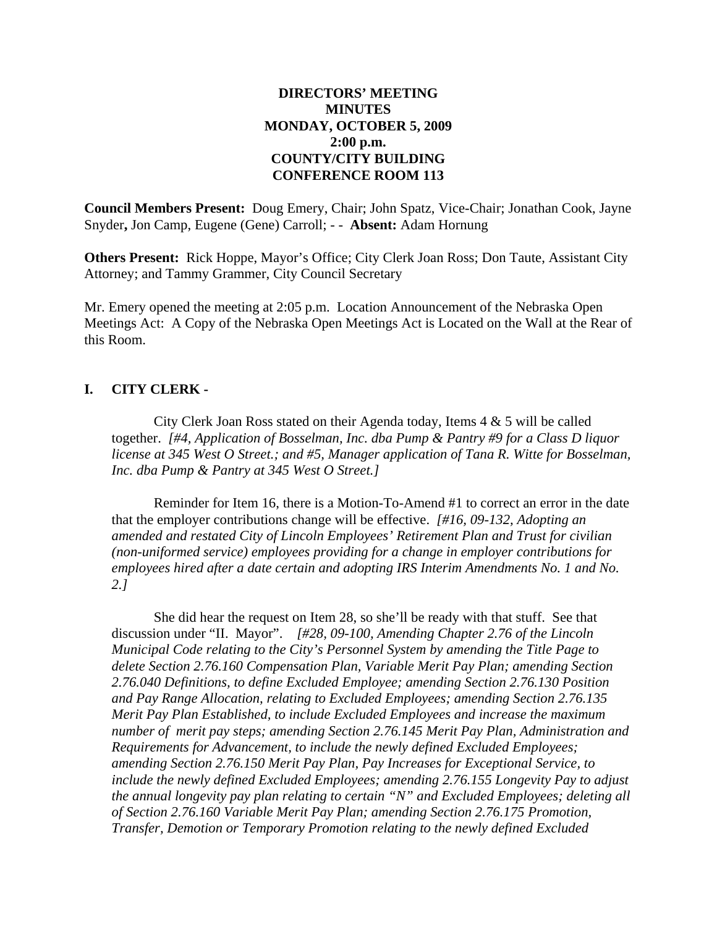### **DIRECTORS' MEETING MINUTES MONDAY, OCTOBER 5, 2009 2:00 p.m. COUNTY/CITY BUILDING CONFERENCE ROOM 113**

**Council Members Present:** Doug Emery, Chair; John Spatz, Vice-Chair; Jonathan Cook, Jayne Snyder**,** Jon Camp, Eugene (Gene) Carroll; - - **Absent:** Adam Hornung

**Others Present:** Rick Hoppe, Mayor's Office; City Clerk Joan Ross; Don Taute, Assistant City Attorney; and Tammy Grammer, City Council Secretary

Mr. Emery opened the meeting at 2:05 p.m. Location Announcement of the Nebraska Open Meetings Act: A Copy of the Nebraska Open Meetings Act is Located on the Wall at the Rear of this Room.

#### **I. CITY CLERK -**

City Clerk Joan Ross stated on their Agenda today, Items 4 & 5 will be called together. *[#4, Application of Bosselman, Inc. dba Pump & Pantry #9 for a Class D liquor license at 345 West O Street.; and #5, Manager application of Tana R. Witte for Bosselman, Inc. dba Pump & Pantry at 345 West O Street.]*

Reminder for Item 16, there is a Motion-To-Amend #1 to correct an error in the date that the employer contributions change will be effective. *[#16, 09-132, Adopting an amended and restated City of Lincoln Employees' Retirement Plan and Trust for civilian (non-uniformed service) employees providing for a change in employer contributions for employees hired after a date certain and adopting IRS Interim Amendments No. 1 and No. 2.]*

She did hear the request on Item 28, so she'll be ready with that stuff. See that discussion under "II. Mayor". *[#28, 09-100, Amending Chapter 2.76 of the Lincoln Municipal Code relating to the City's Personnel System by amending the Title Page to delete Section 2.76.160 Compensation Plan, Variable Merit Pay Plan; amending Section 2.76.040 Definitions, to define Excluded Employee; amending Section 2.76.130 Position and Pay Range Allocation, relating to Excluded Employees; amending Section 2.76.135 Merit Pay Plan Established, to include Excluded Employees and increase the maximum number of merit pay steps; amending Section 2.76.145 Merit Pay Plan, Administration and Requirements for Advancement, to include the newly defined Excluded Employees; amending Section 2.76.150 Merit Pay Plan, Pay Increases for Exceptional Service, to include the newly defined Excluded Employees; amending 2.76.155 Longevity Pay to adjust the annual longevity pay plan relating to certain "N" and Excluded Employees; deleting all of Section 2.76.160 Variable Merit Pay Plan; amending Section 2.76.175 Promotion, Transfer, Demotion or Temporary Promotion relating to the newly defined Excluded*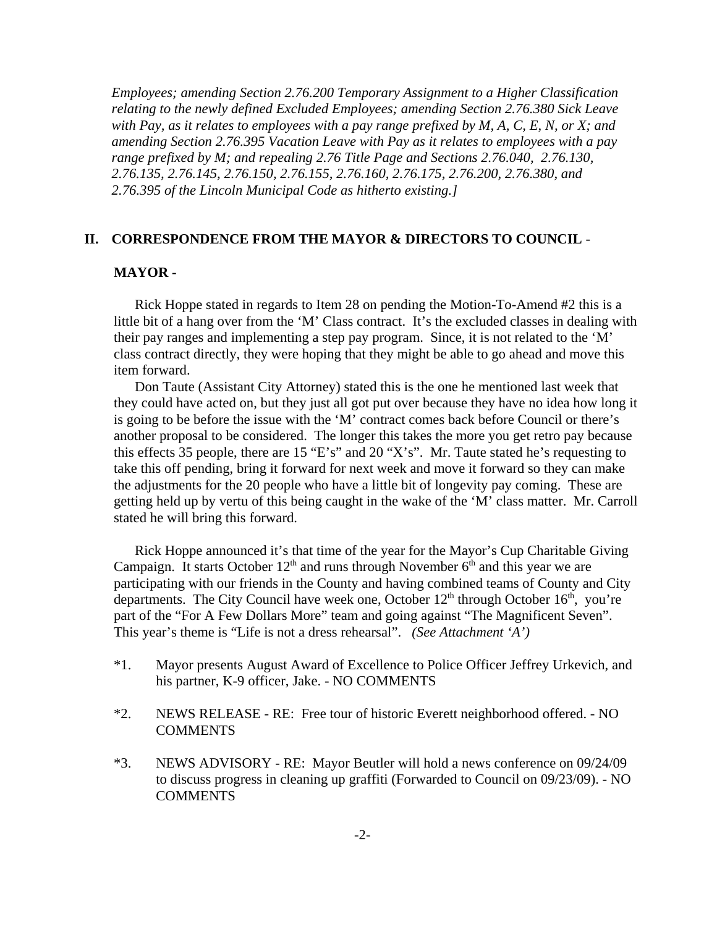*Employees; amending Section 2.76.200 Temporary Assignment to a Higher Classification relating to the newly defined Excluded Employees; amending Section 2.76.380 Sick Leave with Pay, as it relates to employees with a pay range prefixed by M, A, C, E, N, or X; and amending Section 2.76.395 Vacation Leave with Pay as it relates to employees with a pay range prefixed by M; and repealing 2.76 Title Page and Sections 2.76.040, 2.76.130, 2.76.135, 2.76.145, 2.76.150, 2.76.155, 2.76.160, 2.76.175, 2.76.200, 2.76.380, and 2.76.395 of the Lincoln Municipal Code as hitherto existing.]*

#### **II. CORRESPONDENCE FROM THE MAYOR & DIRECTORS TO COUNCIL** -

#### **MAYOR -**

Rick Hoppe stated in regards to Item 28 on pending the Motion-To-Amend #2 this is a little bit of a hang over from the 'M' Class contract. It's the excluded classes in dealing with their pay ranges and implementing a step pay program. Since, it is not related to the 'M' class contract directly, they were hoping that they might be able to go ahead and move this item forward.

Don Taute (Assistant City Attorney) stated this is the one he mentioned last week that they could have acted on, but they just all got put over because they have no idea how long it is going to be before the issue with the 'M' contract comes back before Council or there's another proposal to be considered. The longer this takes the more you get retro pay because this effects 35 people, there are 15 "E's" and 20 "X's". Mr. Taute stated he's requesting to take this off pending, bring it forward for next week and move it forward so they can make the adjustments for the 20 people who have a little bit of longevity pay coming. These are getting held up by vertu of this being caught in the wake of the 'M' class matter. Mr. Carroll stated he will bring this forward.

Rick Hoppe announced it's that time of the year for the Mayor's Cup Charitable Giving Campaign. It starts October  $12<sup>th</sup>$  and runs through November  $6<sup>th</sup>$  and this year we are participating with our friends in the County and having combined teams of County and City departments. The City Council have week one, October  $12<sup>th</sup>$  through October  $16<sup>th</sup>$ , you're part of the "For A Few Dollars More" team and going against "The Magnificent Seven". This year's theme is "Life is not a dress rehearsal". *(See Attachment 'A')* 

- \*1. Mayor presents August Award of Excellence to Police Officer Jeffrey Urkevich, and his partner, K-9 officer, Jake. - NO COMMENTS
- \*2. NEWS RELEASE RE: Free tour of historic Everett neighborhood offered. NO **COMMENTS**
- \*3. NEWS ADVISORY RE: Mayor Beutler will hold a news conference on 09/24/09 to discuss progress in cleaning up graffiti (Forwarded to Council on 09/23/09). - NO **COMMENTS**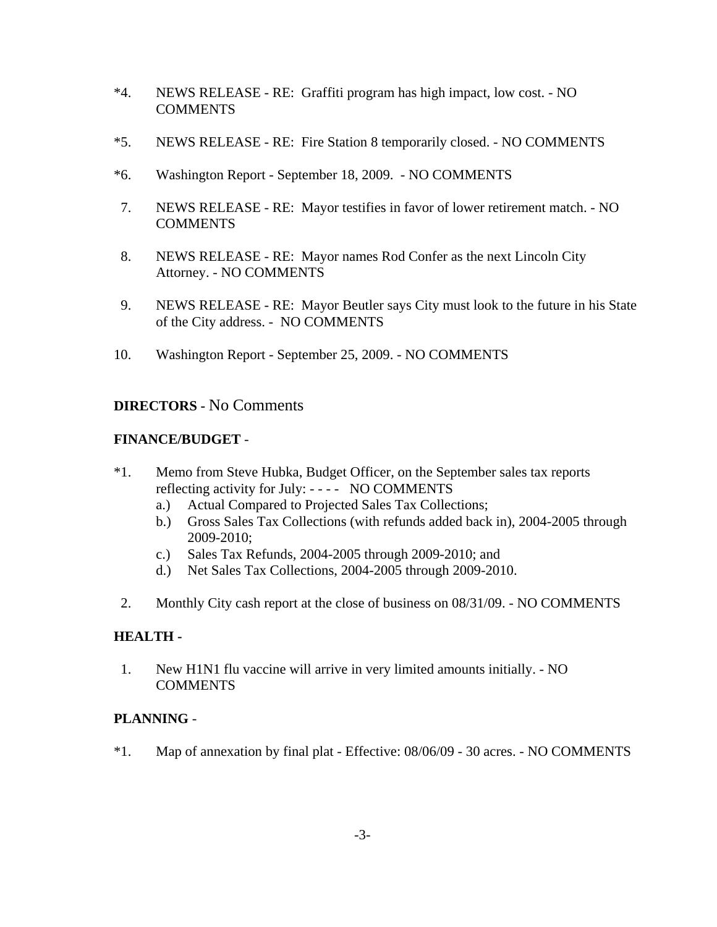- \*4. NEWS RELEASE RE: Graffiti program has high impact, low cost. NO **COMMENTS**
- \*5. NEWS RELEASE RE: Fire Station 8 temporarily closed. NO COMMENTS
- \*6. Washington Report September 18, 2009. NO COMMENTS
- 7. NEWS RELEASE RE: Mayor testifies in favor of lower retirement match. NO **COMMENTS**
- 8. NEWS RELEASE RE: Mayor names Rod Confer as the next Lincoln City Attorney. - NO COMMENTS
- 9. NEWS RELEASE RE: Mayor Beutler says City must look to the future in his State of the City address. - NO COMMENTS
- 10. Washington Report September 25, 2009. NO COMMENTS

## **DIRECTORS -** No Comments

#### **FINANCE/BUDGET** -

- \*1. Memo from Steve Hubka, Budget Officer, on the September sales tax reports reflecting activity for July: - - - - NO COMMENTS
	- a.) Actual Compared to Projected Sales Tax Collections;
	- b.) Gross Sales Tax Collections (with refunds added back in), 2004-2005 through 2009-2010;
	- c.) Sales Tax Refunds, 2004-2005 through 2009-2010; and
	- d.) Net Sales Tax Collections, 2004-2005 through 2009-2010.
- 2. Monthly City cash report at the close of business on 08/31/09. NO COMMENTS

#### **HEALTH -**

1. New H1N1 flu vaccine will arrive in very limited amounts initially. - NO **COMMENTS** 

### **PLANNING** -

\*1. Map of annexation by final plat - Effective: 08/06/09 - 30 acres. - NO COMMENTS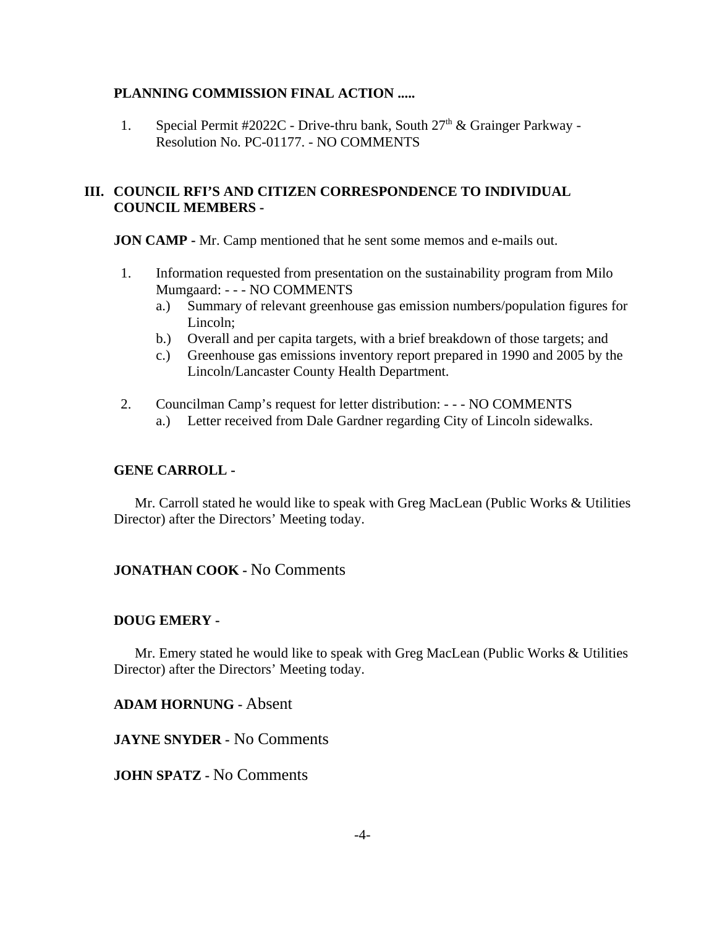#### **PLANNING COMMISSION FINAL ACTION .....**

1. Special Permit #2022C - Drive-thru bank, South  $27<sup>th</sup>$  & Grainger Parkway -Resolution No. PC-01177. - NO COMMENTS

#### **III. COUNCIL RFI'S AND CITIZEN CORRESPONDENCE TO INDIVIDUAL COUNCIL MEMBERS -**

**JON CAMP - Mr.** Camp mentioned that he sent some memos and e-mails out.

- 1. Information requested from presentation on the sustainability program from Milo Mumgaard: - - - NO COMMENTS
	- a.) Summary of relevant greenhouse gas emission numbers/population figures for Lincoln;
	- b.) Overall and per capita targets, with a brief breakdown of those targets; and
	- c.) Greenhouse gas emissions inventory report prepared in 1990 and 2005 by the Lincoln/Lancaster County Health Department.
- 2. Councilman Camp's request for letter distribution: - NO COMMENTS
	- a.) Letter received from Dale Gardner regarding City of Lincoln sidewalks.

#### **GENE CARROLL -**

Mr. Carroll stated he would like to speak with Greg MacLean (Public Works & Utilities Director) after the Directors' Meeting today.

### **JONATHAN COOK -** No Comments

#### **DOUG EMERY -**

Mr. Emery stated he would like to speak with Greg MacLean (Public Works & Utilities Director) after the Directors' Meeting today.

**ADAM HORNUNG -** Absent

**JAYNE SNYDER -** No Comments

**JOHN SPATZ -** No Comments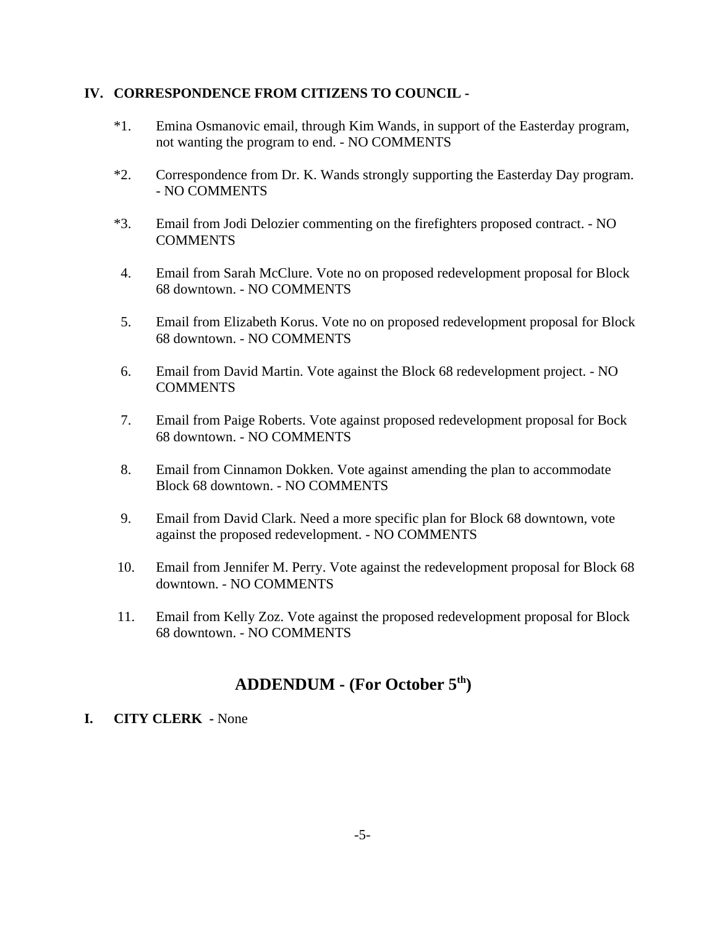#### **IV. CORRESPONDENCE FROM CITIZENS TO COUNCIL -**

- \*1. Emina Osmanovic email, through Kim Wands, in support of the Easterday program, not wanting the program to end. - NO COMMENTS
- \*2. Correspondence from Dr. K. Wands strongly supporting the Easterday Day program. - NO COMMENTS
- \*3. Email from Jodi Delozier commenting on the firefighters proposed contract. NO **COMMENTS**
- 4. Email from Sarah McClure. Vote no on proposed redevelopment proposal for Block 68 downtown. - NO COMMENTS
- 5. Email from Elizabeth Korus. Vote no on proposed redevelopment proposal for Block 68 downtown. - NO COMMENTS
- 6. Email from David Martin. Vote against the Block 68 redevelopment project. NO **COMMENTS**
- 7. Email from Paige Roberts. Vote against proposed redevelopment proposal for Bock 68 downtown. - NO COMMENTS
- 8. Email from Cinnamon Dokken. Vote against amending the plan to accommodate Block 68 downtown. - NO COMMENTS
- 9. Email from David Clark. Need a more specific plan for Block 68 downtown, vote against the proposed redevelopment. - NO COMMENTS
- 10. Email from Jennifer M. Perry. Vote against the redevelopment proposal for Block 68 downtown. - NO COMMENTS
- 11. Email from Kelly Zoz. Vote against the proposed redevelopment proposal for Block 68 downtown. - NO COMMENTS

# **ADDENDUM - (For October 5th)**

### **I. CITY CLERK -** None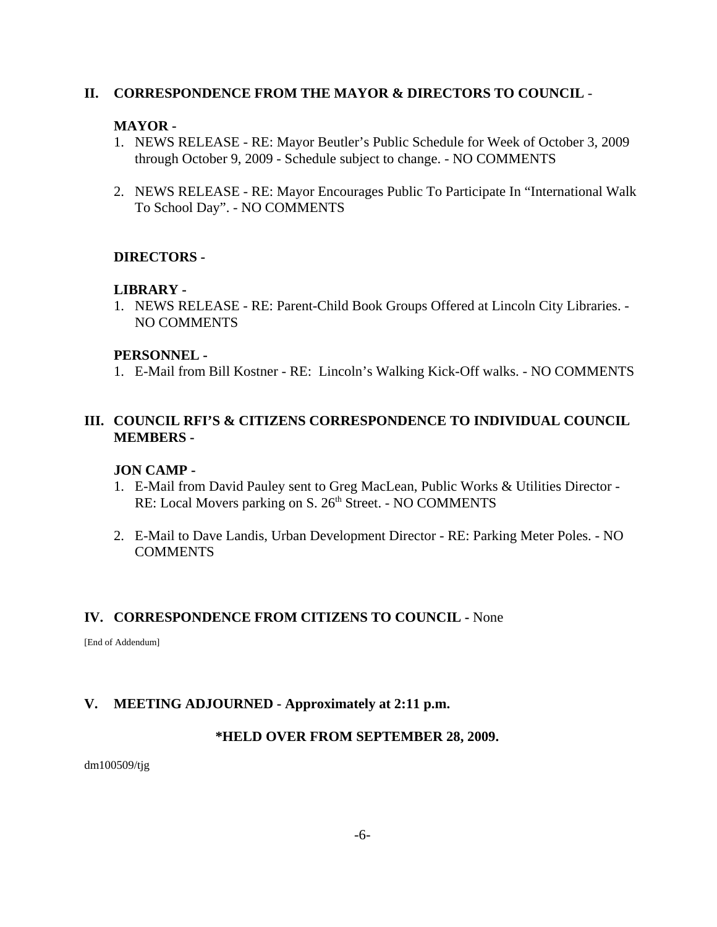#### **II. CORRESPONDENCE FROM THE MAYOR & DIRECTORS TO COUNCIL** -

#### **MAYOR -**

- 1. NEWS RELEASE RE: Mayor Beutler's Public Schedule for Week of October 3, 2009 through October 9, 2009 - Schedule subject to change. - NO COMMENTS
- 2. NEWS RELEASE RE: Mayor Encourages Public To Participate In "International Walk To School Day". - NO COMMENTS

### **DIRECTORS -**

#### **LIBRARY -**

1. NEWS RELEASE - RE: Parent-Child Book Groups Offered at Lincoln City Libraries. - NO COMMENTS

#### **PERSONNEL -**

1. E-Mail from Bill Kostner - RE: Lincoln's Walking Kick-Off walks. - NO COMMENTS

### **III. COUNCIL RFI'S & CITIZENS CORRESPONDENCE TO INDIVIDUAL COUNCIL MEMBERS -**

#### **JON CAMP -**

- 1. E-Mail from David Pauley sent to Greg MacLean, Public Works & Utilities Director RE: Local Movers parking on S. 26<sup>th</sup> Street. - NO COMMENTS
- 2. E-Mail to Dave Landis, Urban Development Director RE: Parking Meter Poles. NO **COMMENTS**

#### **IV. CORRESPONDENCE FROM CITIZENS TO COUNCIL -** None

[End of Addendum]

#### **V. MEETING ADJOURNED - Approximately at 2:11 p.m.**

#### **\*HELD OVER FROM SEPTEMBER 28, 2009.**

dm100509/tjg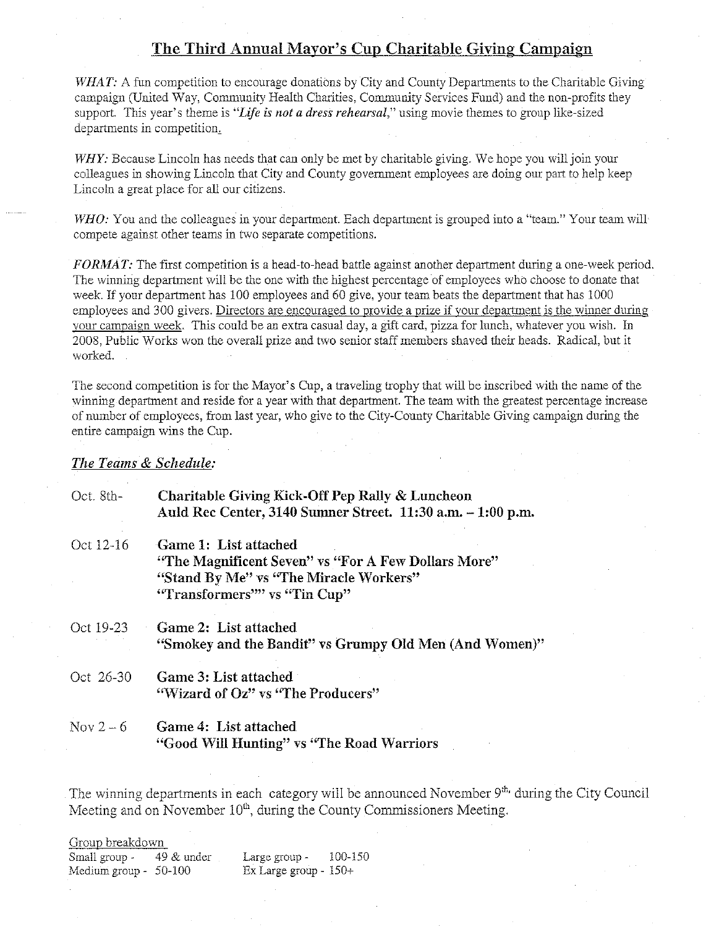#### The Third Annual Mayor's Cup Charitable Giving Campaign

WHAT: A fun competition to encourage donations by City and County Departments to the Charitable Giving campaign (United Way, Community Health Charities, Community Services Fund) and the non-profits they support. This year's theme is "Life is not a dress rehearsal," using movie themes to group like-sized departments in competition.

WHY: Because Lincoln has needs that can only be met by charitable giving. We hope you will join your colleagues in showing Lincoln that City and County government employees are doing our part to help keep Lincoln a great place for all our citizens.

 $WHO$ : You and the colleagues in your department. Each department is grouped into a "team." Your team will compete against other teams in two separate competitions.

FORMAT: The first competition is a head-to-head battle against another department during a one-week period. The winning department will be the one with the highest percentage of employees who choose to donate that week. If your department has 100 employees and 60 give, your team beats the department that has 1000 employees and 300 givers. Directors are encouraged to provide a prize if your department is the winner during your campaign week. This could be an extra casual day, a gift card, pizza for lunch, whatever you wish. In 2008, Public Works won the overall prize and two senior staff members shaved their heads. Radical, but it worked.

The second competition is for the Mayor's Cup, a traveling trophy that will be inscribed with the name of the winning department and reside for a year with that department. The team with the greatest percentage increase of number of employees, from last year, who give to the City-County Charitable Giving campaign during the entire campaign wins the Cup.

#### The Teams & Schedule:

| Oct. 8th- | Charitable Giving Kick-Off Pep Rally & Luncheon<br>Auld Rec Center, 3140 Sumner Street. 11:30 a.m. - 1:00 p.m.                                         |
|-----------|--------------------------------------------------------------------------------------------------------------------------------------------------------|
| Oct 12-16 | Game 1: List attached<br>"The Magnificent Seven" vs "For A Few Dollars More"<br>"Stand By Me" vs "The Miracle Workers"<br>"Transformers"" vs "Tin Cup" |
| Oct 19-23 | Game 2: List attached<br>"Smokey and the Bandit" vs Grumpy Old Men (And Women)"                                                                        |
| Oct 26-30 | Game 3: List attached<br>"Wizard of Oz" vs "The Producers"                                                                                             |
| Nov $2-6$ | Game 4: List attached<br>"Good Will Hunting" vs "The Road Warriors                                                                                     |

The winning departments in each category will be announced November 9th, during the City Council Meeting and on November 10<sup>th</sup>, during the County Commissioners Meeting.

| Group breakdown            |                                |         |
|----------------------------|--------------------------------|---------|
| Small group $-49 \&$ under | Large group -                  | 100-150 |
| Medium group - 50-100      | $Ex\text{ Large group} - 150+$ |         |